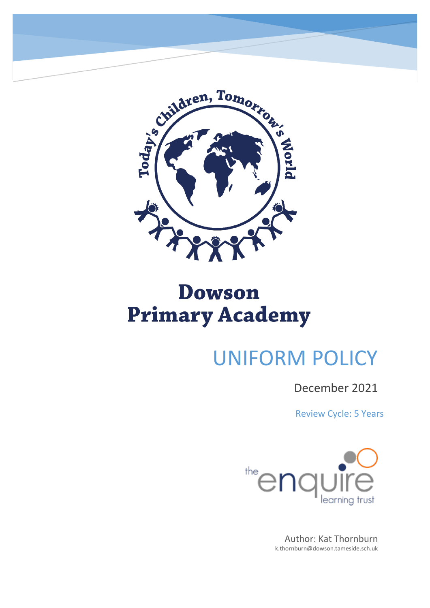

# UNIFORM POLICY

### December 2021

Review Cycle: 5 Years



Author: Kat Thornburn k.thornburn@dowson.tameside.sch.uk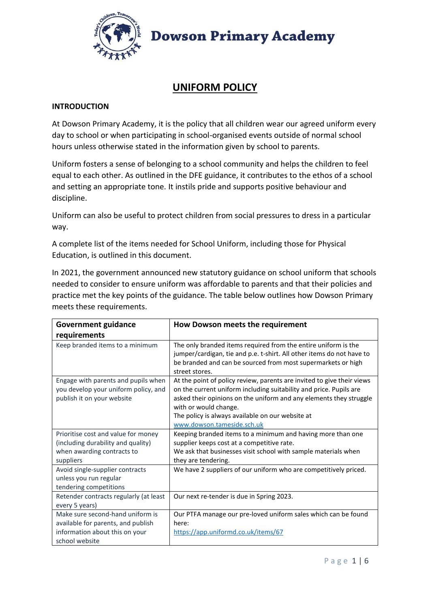

### **UNIFORM POLICY**

#### **INTRODUCTION**

At Dowson Primary Academy, it is the policy that all children wear our agreed uniform every day to school or when participating in school-organised events outside of normal school hours unless otherwise stated in the information given by school to parents.

Uniform fosters a sense of belonging to a school community and helps the children to feel equal to each other. As outlined in the DFE guidance, it contributes to the ethos of a school and setting an appropriate tone. It instils pride and supports positive behaviour and discipline.

Uniform can also be useful to protect children from social pressures to dress in a particular way.

A complete list of the items needed for School Uniform, including those for Physical Education, is outlined in this document.

In 2021, the government announced new statutory guidance on school uniform that schools needed to consider to ensure uniform was affordable to parents and that their policies and practice met the key points of the guidance. The table below outlines how Dowson Primary meets these requirements.

| <b>Government guidance</b>                                                                                                 | How Dowson meets the requirement                                                                                                                                                                                                                                                                                              |
|----------------------------------------------------------------------------------------------------------------------------|-------------------------------------------------------------------------------------------------------------------------------------------------------------------------------------------------------------------------------------------------------------------------------------------------------------------------------|
| requirements                                                                                                               |                                                                                                                                                                                                                                                                                                                               |
| Keep branded items to a minimum                                                                                            | The only branded items required from the entire uniform is the<br>jumper/cardigan, tie and p.e. t-shirt. All other items do not have to<br>be branded and can be sourced from most supermarkets or high<br>street stores.                                                                                                     |
| Engage with parents and pupils when<br>you develop your uniform policy, and<br>publish it on your website                  | At the point of policy review, parents are invited to give their views<br>on the current uniform including suitability and price. Pupils are<br>asked their opinions on the uniform and any elements they struggle<br>with or would change.<br>The policy is always available on our website at<br>www.dowson.tameside.sch.uk |
| Prioritise cost and value for money<br>(including durability and quality)<br>when awarding contracts to<br>suppliers       | Keeping branded items to a minimum and having more than one<br>supplier keeps cost at a competitive rate.<br>We ask that businesses visit school with sample materials when<br>they are tendering.                                                                                                                            |
| Avoid single-supplier contracts<br>unless you run regular<br>tendering competitions                                        | We have 2 suppliers of our uniform who are competitively priced.                                                                                                                                                                                                                                                              |
| Retender contracts regularly (at least<br>every 5 years)                                                                   | Our next re-tender is due in Spring 2023.                                                                                                                                                                                                                                                                                     |
| Make sure second-hand uniform is<br>available for parents, and publish<br>information about this on your<br>school website | Our PTFA manage our pre-loved uniform sales which can be found<br>here:<br>https://app.uniformd.co.uk/items/67                                                                                                                                                                                                                |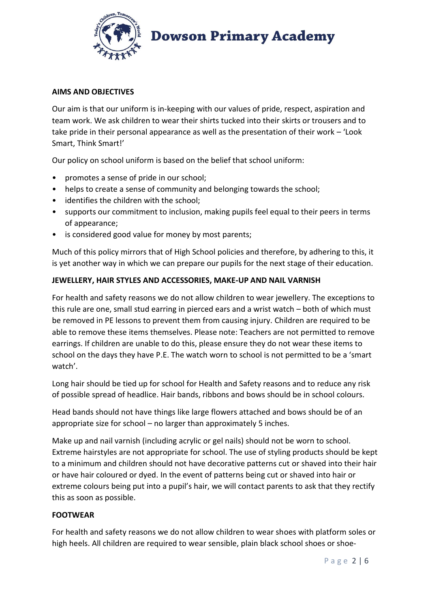

#### **AIMS AND OBJECTIVES**

Our aim is that our uniform is in-keeping with our values of pride, respect, aspiration and team work. We ask children to wear their shirts tucked into their skirts or trousers and to take pride in their personal appearance as well as the presentation of their work – 'Look Smart, Think Smart!'

Our policy on school uniform is based on the belief that school uniform:

- promotes a sense of pride in our school;
- helps to create a sense of community and belonging towards the school;
- identifies the children with the school;
- supports our commitment to inclusion, making pupils feel equal to their peers in terms of appearance;
- is considered good value for money by most parents;

Much of this policy mirrors that of High School policies and therefore, by adhering to this, it is yet another way in which we can prepare our pupils for the next stage of their education.

#### **JEWELLERY, HAIR STYLES AND ACCESSORIES, MAKE-UP AND NAIL VARNISH**

For health and safety reasons we do not allow children to wear jewellery. The exceptions to this rule are one, small stud earring in pierced ears and a wrist watch – both of which must be removed in PE lessons to prevent them from causing injury. Children are required to be able to remove these items themselves. Please note: Teachers are not permitted to remove earrings. If children are unable to do this, please ensure they do not wear these items to school on the days they have P.E. The watch worn to school is not permitted to be a 'smart watch'.

Long hair should be tied up for school for Health and Safety reasons and to reduce any risk of possible spread of headlice. Hair bands, ribbons and bows should be in school colours.

Head bands should not have things like large flowers attached and bows should be of an appropriate size for school – no larger than approximately 5 inches.

Make up and nail varnish (including acrylic or gel nails) should not be worn to school. Extreme hairstyles are not appropriate for school. The use of styling products should be kept to a minimum and children should not have decorative patterns cut or shaved into their hair or have hair coloured or dyed. In the event of patterns being cut or shaved into hair or extreme colours being put into a pupil's hair, we will contact parents to ask that they rectify this as soon as possible.

#### **FOOTWEAR**

For health and safety reasons we do not allow children to wear shoes with platform soles or high heels. All children are required to wear sensible, plain black school shoes or shoe-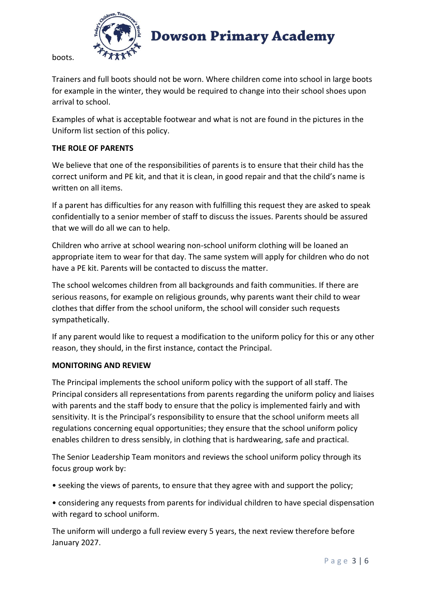

boots.

Trainers and full boots should not be worn. Where children come into school in large boots for example in the winter, they would be required to change into their school shoes upon arrival to school.

Examples of what is acceptable footwear and what is not are found in the pictures in the Uniform list section of this policy.

#### **THE ROLE OF PARENTS**

We believe that one of the responsibilities of parents is to ensure that their child has the correct uniform and PE kit, and that it is clean, in good repair and that the child's name is written on all items.

If a parent has difficulties for any reason with fulfilling this request they are asked to speak confidentially to a senior member of staff to discuss the issues. Parents should be assured that we will do all we can to help.

Children who arrive at school wearing non-school uniform clothing will be loaned an appropriate item to wear for that day. The same system will apply for children who do not have a PE kit. Parents will be contacted to discuss the matter.

The school welcomes children from all backgrounds and faith communities. If there are serious reasons, for example on religious grounds, why parents want their child to wear clothes that differ from the school uniform, the school will consider such requests sympathetically.

If any parent would like to request a modification to the uniform policy for this or any other reason, they should, in the first instance, contact the Principal.

#### **MONITORING AND REVIEW**

The Principal implements the school uniform policy with the support of all staff. The Principal considers all representations from parents regarding the uniform policy and liaises with parents and the staff body to ensure that the policy is implemented fairly and with sensitivity. It is the Principal's responsibility to ensure that the school uniform meets all regulations concerning equal opportunities; they ensure that the school uniform policy enables children to dress sensibly, in clothing that is hardwearing, safe and practical.

The Senior Leadership Team monitors and reviews the school uniform policy through its focus group work by:

- seeking the views of parents, to ensure that they agree with and support the policy;
- considering any requests from parents for individual children to have special dispensation with regard to school uniform.

The uniform will undergo a full review every 5 years, the next review therefore before January 2027.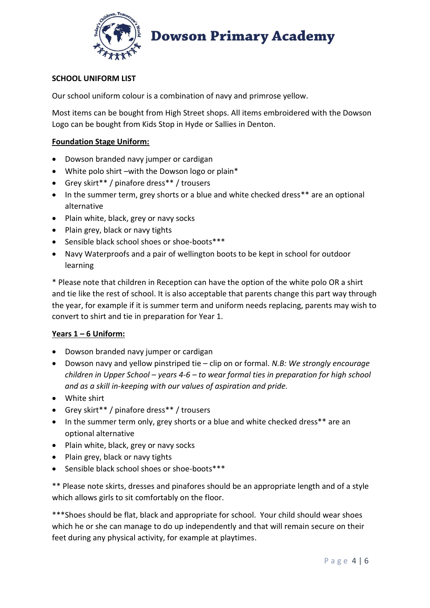

#### **SCHOOL UNIFORM LIST**

Our school uniform colour is a combination of navy and primrose yellow.

Most items can be bought from High Street shops. All items embroidered with the Dowson Logo can be bought from Kids Stop in Hyde or Sallies in Denton.

#### **Foundation Stage Uniform:**

- Dowson branded navy jumper or cardigan
- White polo shirt –with the Dowson logo or plain\*
- Grey skirt\*\* / pinafore dress\*\* / trousers
- In the summer term, grey shorts or a blue and white checked dress\*\* are an optional alternative
- Plain white, black, grey or navy socks
- Plain grey, black or navy tights
- Sensible black school shoes or shoe-boots\*\*\*
- Navy Waterproofs and a pair of wellington boots to be kept in school for outdoor learning

\* Please note that children in Reception can have the option of the white polo OR a shirt and tie like the rest of school. It is also acceptable that parents change this part way through the year, for example if it is summer term and uniform needs replacing, parents may wish to convert to shirt and tie in preparation for Year 1.

#### **Years 1 – 6 Uniform:**

- Dowson branded navy jumper or cardigan
- Dowson navy and yellow pinstriped tie clip on or formal. *N.B: We strongly encourage children in Upper School – years 4-6 – to wear formal ties in preparation for high school and as a skill in-keeping with our values of aspiration and pride.*
- White shirt
- Grey skirt\*\* / pinafore dress\*\* / trousers
- In the summer term only, grey shorts or a blue and white checked dress\*\* are an optional alternative
- Plain white, black, grey or navy socks
- Plain grey, black or navy tights
- Sensible black school shoes or shoe-boots\*\*\*

\*\* Please note skirts, dresses and pinafores should be an appropriate length and of a style which allows girls to sit comfortably on the floor.

\*\*\*Shoes should be flat, black and appropriate for school. Your child should wear shoes which he or she can manage to do up independently and that will remain secure on their feet during any physical activity, for example at playtimes.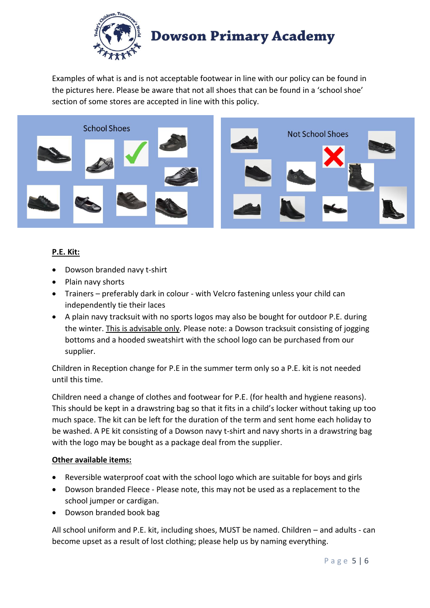

Examples of what is and is not acceptable footwear in line with our policy can be found in the pictures here. Please be aware that not all shoes that can be found in a 'school shoe' section of some stores are accepted in line with this policy.



#### **P.E. Kit:**

- Dowson branded navy t-shirt
- Plain navy shorts
- Trainers preferably dark in colour with Velcro fastening unless your child can independently tie their laces
- A plain navy tracksuit with no sports logos may also be bought for outdoor P.E. during the winter. This is advisable only. Please note: a Dowson tracksuit consisting of jogging bottoms and a hooded sweatshirt with the school logo can be purchased from our supplier.

Children in Reception change for P.E in the summer term only so a P.E. kit is not needed until this time.

Children need a change of clothes and footwear for P.E. (for health and hygiene reasons). This should be kept in a drawstring bag so that it fits in a child's locker without taking up too much space. The kit can be left for the duration of the term and sent home each holiday to be washed. A PE kit consisting of a Dowson navy t-shirt and navy shorts in a drawstring bag with the logo may be bought as a package deal from the supplier.

#### **Other available items:**

- Reversible waterproof coat with the school logo which are suitable for boys and girls
- Dowson branded Fleece Please note, this may not be used as a replacement to the school jumper or cardigan.
- Dowson branded book bag

All school uniform and P.E. kit, including shoes, MUST be named. Children – and adults - can become upset as a result of lost clothing; please help us by naming everything.